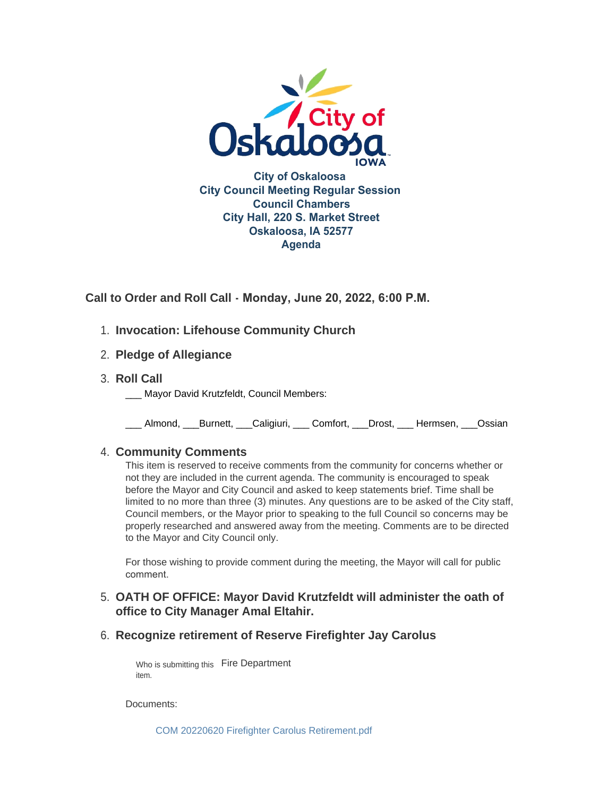

**Call to Order and Roll Call - Monday, June 20, 2022, 6:00 P.M.** 

- **Invocation: Lifehouse Community Church** 1.
- **Pledge of Allegiance** 2.
- **Roll Call** 3.
	- Mayor David Krutzfeldt, Council Members:

\_\_\_ Almond, \_\_\_Burnett, \_\_\_Caligiuri, \_\_\_ Comfort, \_\_\_Drost, \_\_\_ Hermsen, \_\_\_Ossian

## **Community Comments** 4.

This item is reserved to receive comments from the community for concerns whether or not they are included in the current agenda. The community is encouraged to speak before the Mayor and City Council and asked to keep statements brief. Time shall be limited to no more than three (3) minutes. Any questions are to be asked of the City staff, Council members, or the Mayor prior to speaking to the full Council so concerns may be properly researched and answered away from the meeting. Comments are to be directed to the Mayor and City Council only.

For those wishing to provide comment during the meeting, the Mayor will call for public comment.

# **OATH OF OFFICE: Mayor David Krutzfeldt will administer the oath of**  5. **office to City Manager Amal Eltahir.**

**Recognize retirement of Reserve Firefighter Jay Carolus** 6.

Who is submitting this Fire Department item.

Documents:

[COM 20220620 Firefighter Carolus Retirement.pdf](https://www.oskaloosaiowa.org/AgendaCenter/ViewFile/Item/10290?fileID=26875)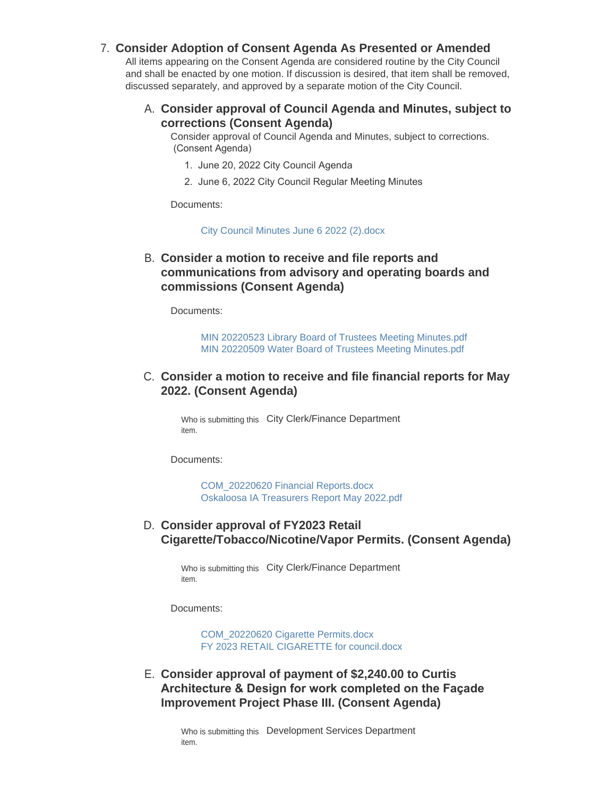### **Consider Adoption of Consent Agenda As Presented or Amended** 7.

All items appearing on the Consent Agenda are considered routine by the City Council and shall be enacted by one motion. If discussion is desired, that item shall be removed, discussed separately, and approved by a separate motion of the City Council.

### **Consider approval of Council Agenda and Minutes, subject to**  A. **corrections (Consent Agenda)**

Consider approval of Council Agenda and Minutes, subject to corrections. (Consent Agenda)

- 1. June 20, 2022 City Council Agenda
- 2. June 6, 2022 City Council Regular Meeting Minutes

Documents:

#### [City Council Minutes June 6 2022 \(2\).docx](https://www.oskaloosaiowa.org/AgendaCenter/ViewFile/Item/10276?fileID=26862)

### **Consider a motion to receive and file reports and**  B. **communications from advisory and operating boards and commissions (Consent Agenda)**

Documents:

[MIN 20220523 Library Board of Trustees Meeting Minutes.pdf](https://www.oskaloosaiowa.org/AgendaCenter/ViewFile/Item/10277?fileID=26863) [MIN 20220509 Water Board of Trustees Meeting Minutes.pdf](https://www.oskaloosaiowa.org/AgendaCenter/ViewFile/Item/10277?fileID=26864)

### C. Consider a motion to receive and file financial reports for May **2022. (Consent Agenda)**

Who is submitting this City Clerk/Finance Department item.

Documents:

[COM\\_20220620 Financial Reports.docx](https://www.oskaloosaiowa.org/AgendaCenter/ViewFile/Item/10251?fileID=26858) [Oskaloosa IA Treasurers Report May 2022.pdf](https://www.oskaloosaiowa.org/AgendaCenter/ViewFile/Item/10251?fileID=26859)

### **Consider approval of FY2023 Retail**  D. **Cigarette/Tobacco/Nicotine/Vapor Permits. (Consent Agenda)**

Who is submitting this City Clerk/Finance Department item.

Documents:

[COM\\_20220620 Cigarette Permits.docx](https://www.oskaloosaiowa.org/AgendaCenter/ViewFile/Item/10250?fileID=26801) [FY 2023 RETAIL CIGARETTE for council.docx](https://www.oskaloosaiowa.org/AgendaCenter/ViewFile/Item/10250?fileID=26802)

## **Consider approval of payment of \$2,240.00 to Curtis**  E. **Architecture & Design for work completed on the Façade Improvement Project Phase III. (Consent Agenda)**

Who is submitting this Development Services Department item.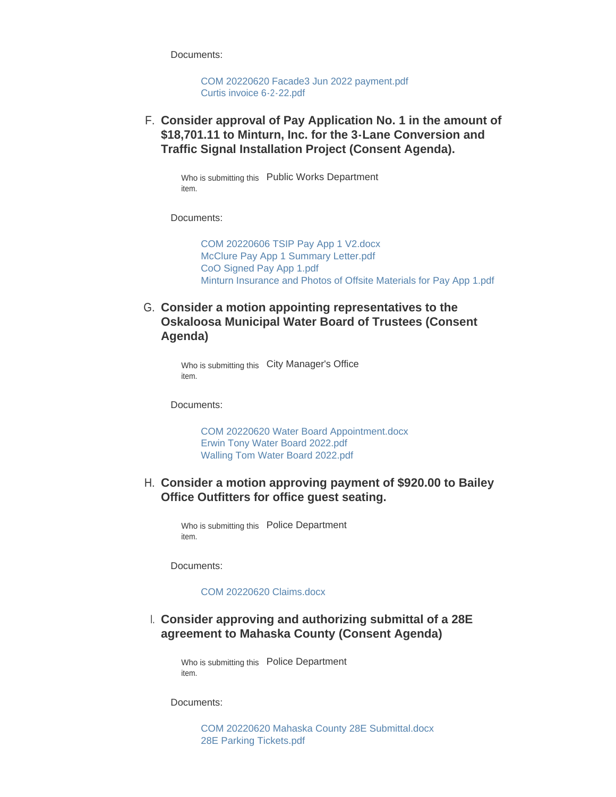Documents:

[COM 20220620 Facade3 Jun 2022 payment.pdf](https://www.oskaloosaiowa.org/AgendaCenter/ViewFile/Item/10248?fileID=26798) [Curtis invoice 6-2-22.pdf](https://www.oskaloosaiowa.org/AgendaCenter/ViewFile/Item/10248?fileID=26799)

**Consider approval of Pay Application No. 1 in the amount of**  F. **\$18,701.11 to Minturn, Inc. for the 3-Lane Conversion and Traffic Signal Installation Project (Consent Agenda).**

Who is submitting this Public Works Department item.

Documents:

[COM 20220606 TSIP Pay App 1 V2.docx](https://www.oskaloosaiowa.org/AgendaCenter/ViewFile/Item/10247?fileID=26865) [McClure Pay App 1 Summary Letter.pdf](https://www.oskaloosaiowa.org/AgendaCenter/ViewFile/Item/10247?fileID=26867) [CoO Signed Pay App 1.pdf](https://www.oskaloosaiowa.org/AgendaCenter/ViewFile/Item/10247?fileID=26853) [Minturn Insurance and Photos of Offsite Materials for Pay App 1.pdf](https://www.oskaloosaiowa.org/AgendaCenter/ViewFile/Item/10247?fileID=26866)

G. Consider a motion appointing representatives to the **Oskaloosa Municipal Water Board of Trustees (Consent Agenda)**

> Who is submitting this City Manager's Office item.

Documents:

[COM 20220620 Water Board Appointment.docx](https://www.oskaloosaiowa.org/AgendaCenter/ViewFile/Item/10245?fileID=26795) [Erwin Tony Water Board 2022.pdf](https://www.oskaloosaiowa.org/AgendaCenter/ViewFile/Item/10245?fileID=26793) [Walling Tom Water Board 2022.pdf](https://www.oskaloosaiowa.org/AgendaCenter/ViewFile/Item/10245?fileID=26794)

### **Consider a motion approving payment of \$920.00 to Bailey**  H. **Office Outfitters for office guest seating.**

Who is submitting this Police Department item.

Documents:

#### [COM 20220620 Claims.docx](https://www.oskaloosaiowa.org/AgendaCenter/ViewFile/Item/10288?fileID=26869)

### **Consider approving and authorizing submittal of a 28E**  I. **agreement to Mahaska County (Consent Agenda)**

Who is submitting this Police Department item.

Documents:

[COM 20220620 Mahaska County 28E Submittal.docx](https://www.oskaloosaiowa.org/AgendaCenter/ViewFile/Item/10264?fileID=26805) [28E Parking Tickets.pdf](https://www.oskaloosaiowa.org/AgendaCenter/ViewFile/Item/10264?fileID=26804)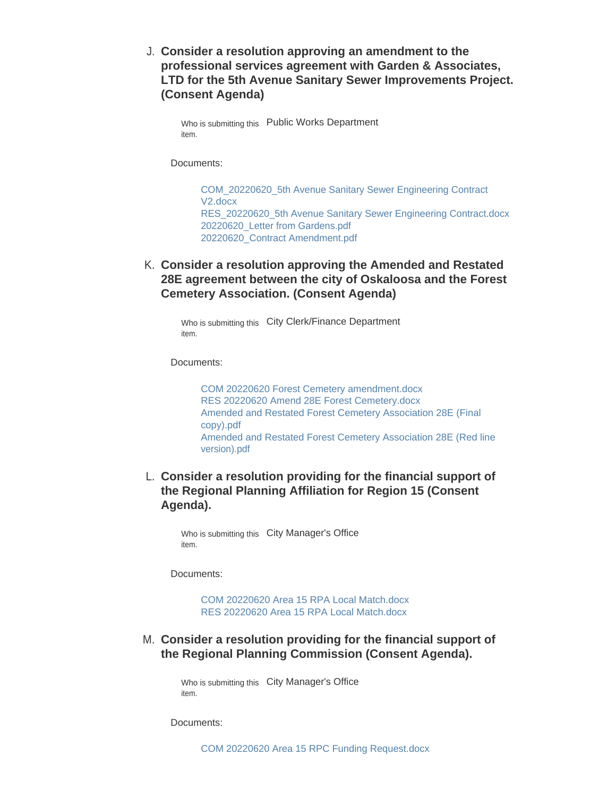**Consider a resolution approving an amendment to the**  J. **professional services agreement with Garden & Associates, LTD for the 5th Avenue Sanitary Sewer Improvements Project. (Consent Agenda)**

Who is submitting this Public Works Department item.

Documents:

[COM\\_20220620\\_5th Avenue Sanitary Sewer Engineering Contract](https://www.oskaloosaiowa.org/AgendaCenter/ViewFile/Item/10289?fileID=26871)  V2.docx [RES\\_20220620\\_5th Avenue Sanitary Sewer Engineering Contract.docx](https://www.oskaloosaiowa.org/AgendaCenter/ViewFile/Item/10289?fileID=26872) [20220620\\_Letter from Gardens.pdf](https://www.oskaloosaiowa.org/AgendaCenter/ViewFile/Item/10289?fileID=26873) [20220620\\_Contract Amendment.pdf](https://www.oskaloosaiowa.org/AgendaCenter/ViewFile/Item/10289?fileID=26874)

**Consider a resolution approving the Amended and Restated**  K. **28E agreement between the city of Oskaloosa and the Forest Cemetery Association. (Consent Agenda)**

Who is submitting this City Clerk/Finance Department item.

Documents:

[COM 20220620 Forest Cemetery amendment.docx](https://www.oskaloosaiowa.org/AgendaCenter/ViewFile/Item/10220?fileID=26854) [RES 20220620 Amend 28E Forest Cemetery.docx](https://www.oskaloosaiowa.org/AgendaCenter/ViewFile/Item/10220?fileID=26855) [Amended and Restated Forest Cemetery Association 28E \(Final](https://www.oskaloosaiowa.org/AgendaCenter/ViewFile/Item/10220?fileID=26857)  copy).pdf [Amended and Restated Forest Cemetery Association 28E \(Red line](https://www.oskaloosaiowa.org/AgendaCenter/ViewFile/Item/10220?fileID=26856)  version).pdf

**Consider a resolution providing for the financial support of**  L. **the Regional Planning Affiliation for Region 15 (Consent Agenda).**

Who is submitting this City Manager's Office item.

Documents:

[COM 20220620 Area 15 RPA Local Match.docx](https://www.oskaloosaiowa.org/AgendaCenter/ViewFile/Item/10267?fileID=26815) [RES 20220620 Area 15 RPA Local Match.docx](https://www.oskaloosaiowa.org/AgendaCenter/ViewFile/Item/10267?fileID=26816)

**Consider a resolution providing for the financial support of**  M. **the Regional Planning Commission (Consent Agenda).**

> Who is submitting this City Manager's Office item.

Documents: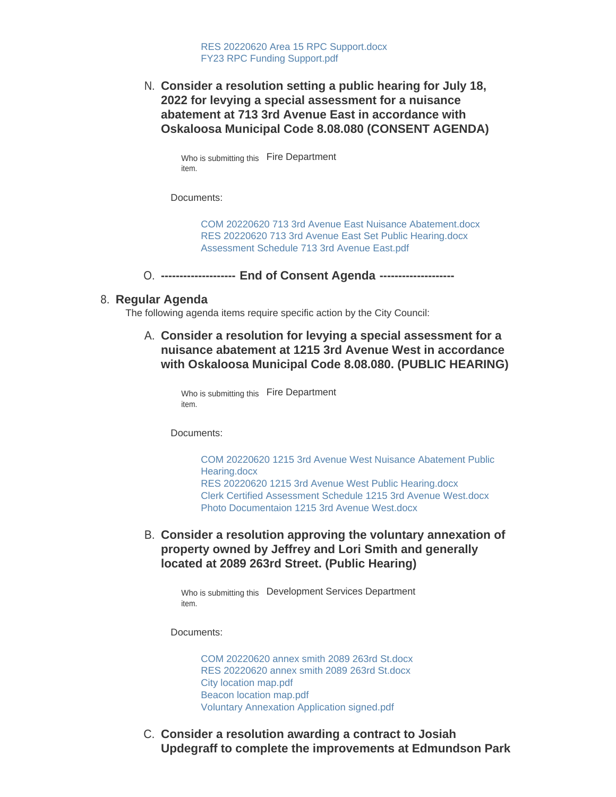**Consider a resolution setting a public hearing for July 18,**  N. **2022 for levying a special assessment for a nuisance abatement at 713 3rd Avenue East in accordance with Oskaloosa Municipal Code 8.08.080 (CONSENT AGENDA)**

> Who is submitting this Fire Department item.

Documents:

[COM 20220620 713 3rd Avenue East Nuisance Abatement.docx](https://www.oskaloosaiowa.org/AgendaCenter/ViewFile/Item/10269?fileID=26847) [RES 20220620 713 3rd Avenue East Set Public Hearing.docx](https://www.oskaloosaiowa.org/AgendaCenter/ViewFile/Item/10269?fileID=26848) [Assessment Schedule 713 3rd Avenue East.pdf](https://www.oskaloosaiowa.org/AgendaCenter/ViewFile/Item/10269?fileID=26849)

**-------------------- End of Consent Agenda --------------------** O.

### **Regular Agenda** 8.

The following agenda items require specific action by the City Council:

**Consider a resolution for levying a special assessment for a**  A. **nuisance abatement at 1215 3rd Avenue West in accordance with Oskaloosa Municipal Code 8.08.080. (PUBLIC HEARING)**

Who is submitting this Fire Department item.

Documents:

[COM 20220620 1215 3rd Avenue West Nuisance Abatement Public](https://www.oskaloosaiowa.org/AgendaCenter/ViewFile/Item/10266?fileID=26818)  Hearing.docx [RES 20220620 1215 3rd Avenue West Public Hearing.docx](https://www.oskaloosaiowa.org/AgendaCenter/ViewFile/Item/10266?fileID=26822) [Clerk Certified Assessment Schedule 1215 3rd Avenue West.docx](https://www.oskaloosaiowa.org/AgendaCenter/ViewFile/Item/10266?fileID=26823) [Photo Documentaion 1215 3rd Avenue West.docx](https://www.oskaloosaiowa.org/AgendaCenter/ViewFile/Item/10266?fileID=26824)

**Consider a resolution approving the voluntary annexation of**  B. **property owned by Jeffrey and Lori Smith and generally located at 2089 263rd Street. (Public Hearing)**

Who is submitting this Development Services Department item.

Documents:

[COM 20220620 annex smith 2089 263rd St.docx](https://www.oskaloosaiowa.org/AgendaCenter/ViewFile/Item/10211?fileID=26834) [RES 20220620 annex smith 2089 263rd St.docx](https://www.oskaloosaiowa.org/AgendaCenter/ViewFile/Item/10211?fileID=26835) [City location map.pdf](https://www.oskaloosaiowa.org/AgendaCenter/ViewFile/Item/10211?fileID=26833) [Beacon location map.pdf](https://www.oskaloosaiowa.org/AgendaCenter/ViewFile/Item/10211?fileID=26837) [Voluntary Annexation Application signed.pdf](https://www.oskaloosaiowa.org/AgendaCenter/ViewFile/Item/10211?fileID=26836)

C. Consider a resolution awarding a contract to Josiah **Updegraff to complete the improvements at Edmundson Park**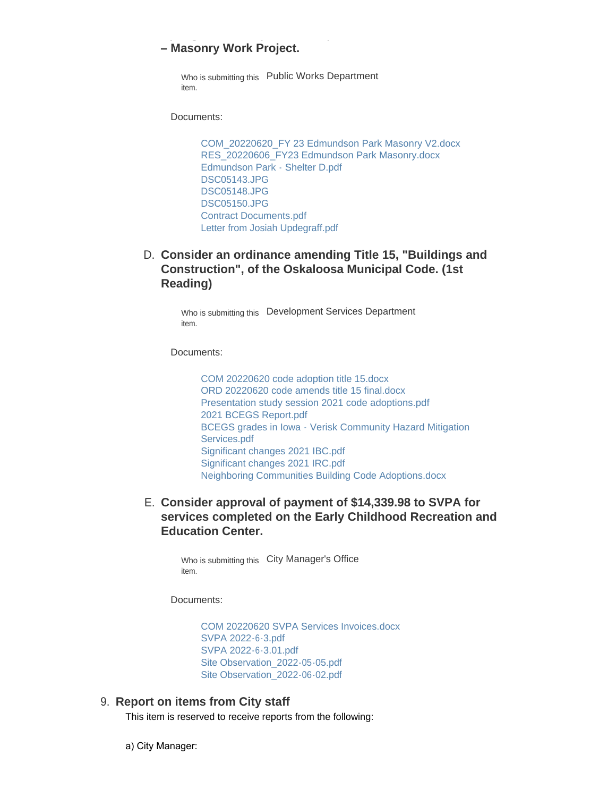## **– Masonry Work Project.**

Who is submitting this Public Works Department item.

Documents:

[COM\\_20220620\\_FY 23 Edmundson Park Masonry V2.docx](https://www.oskaloosaiowa.org/AgendaCenter/ViewFile/Item/10246?fileID=26841) [RES\\_20220606\\_FY23 Edmundson Park Masonry.docx](https://www.oskaloosaiowa.org/AgendaCenter/ViewFile/Item/10246?fileID=26842) [Edmundson Park - Shelter D.pdf](https://www.oskaloosaiowa.org/AgendaCenter/ViewFile/Item/10246?fileID=26843) [DSC05143.JPG](https://www.oskaloosaiowa.org/AgendaCenter/ViewFile/Item/10246?fileID=26844) [DSC05148.JPG](https://www.oskaloosaiowa.org/AgendaCenter/ViewFile/Item/10246?fileID=26845) [DSC05150.JPG](https://www.oskaloosaiowa.org/AgendaCenter/ViewFile/Item/10246?fileID=26846) [Contract Documents.pdf](https://www.oskaloosaiowa.org/AgendaCenter/ViewFile/Item/10246?fileID=26850) [Letter from Josiah Updegraff.pdf](https://www.oskaloosaiowa.org/AgendaCenter/ViewFile/Item/10246?fileID=26851)

**Updegraff to complete the improvements at Edmundson Park** 

# **Consider an ordinance amending Title 15, "Buildings and**  D. **Construction", of the Oskaloosa Municipal Code. (1st Reading)**

Who is submitting this Development Services Department item.

Documents:

[COM 20220620 code adoption title 15.docx](https://www.oskaloosaiowa.org/AgendaCenter/ViewFile/Item/9961?fileID=26827) [ORD 20220620 code amends title 15 final.docx](https://www.oskaloosaiowa.org/AgendaCenter/ViewFile/Item/9961?fileID=26829) [Presentation study session 2021 code adoptions.pdf](https://www.oskaloosaiowa.org/AgendaCenter/ViewFile/Item/9961?fileID=26830) [2021 BCEGS Report.pdf](https://www.oskaloosaiowa.org/AgendaCenter/ViewFile/Item/9961?fileID=26825) [BCEGS grades in Iowa - Verisk Community Hazard Mitigation](https://www.oskaloosaiowa.org/AgendaCenter/ViewFile/Item/9961?fileID=26826)  Services.pdf [Significant changes 2021 IBC.pdf](https://www.oskaloosaiowa.org/AgendaCenter/ViewFile/Item/9961?fileID=26831) [Significant changes 2021 IRC.pdf](https://www.oskaloosaiowa.org/AgendaCenter/ViewFile/Item/9961?fileID=26832) [Neighboring Communities Building Code Adoptions.docx](https://www.oskaloosaiowa.org/AgendaCenter/ViewFile/Item/9961?fileID=26828)

## **Consider approval of payment of \$14,339.98 to SVPA for**  E. **services completed on the Early Childhood Recreation and Education Center.**

Who is submitting this City Manager's Office item.

Documents:

[COM 20220620 SVPA Services Invoices.docx](https://www.oskaloosaiowa.org/AgendaCenter/ViewFile/Item/10243?fileID=26797) [SVPA 2022-6-3.pdf](https://www.oskaloosaiowa.org/AgendaCenter/ViewFile/Item/10243?fileID=26786) [SVPA 2022-6-3.01.pdf](https://www.oskaloosaiowa.org/AgendaCenter/ViewFile/Item/10243?fileID=26787) [Site Observation\\_2022-05-05.pdf](https://www.oskaloosaiowa.org/AgendaCenter/ViewFile/Item/10243?fileID=26788) Site Observation 2022-06-02.pdf

#### **Report on items from City staff** 9.

This item is reserved to receive reports from the following:

a) City Manager: